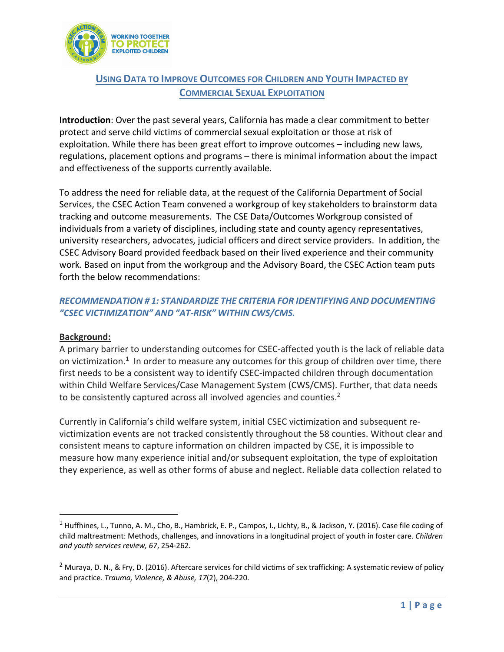

# **USING DATA TO IMPROVE OUTCOMES FOR CHILDREN AND YOUTH IMPACTED BY COMMERCIAL SEXUAL EXPLOITATION**

**Introduction**: Over the past several years, California has made a clear commitment to better protect and serve child victims of commercial sexual exploitation or those at risk of exploitation. While there has been great effort to improve outcomes – including new laws, regulations, placement options and programs – there is minimal information about the impact and effectiveness of the supports currently available.

To address the need for reliable data, at the request of the California Department of Social Services, the CSEC Action Team convened a workgroup of key stakeholders to brainstorm data tracking and outcome measurements. The CSE Data/Outcomes Workgroup consisted of individuals from a variety of disciplines, including state and county agency representatives, university researchers, advocates, judicial officers and direct service providers. In addition, the CSEC Advisory Board provided feedback based on their lived experience and their community work. Based on input from the workgroup and the Advisory Board, the CSEC Action team puts forth the below recommendations:

# *RECOMMENDATION # 1: STANDARDIZE THE CRITERIA FOR IDENTIFYING AND DOCUMENTING "CSEC VICTIMIZATION" AND "AT-RISK" WITHIN CWS/CMS.*

# **Background:**

A primary barrier to understanding outcomes for CSEC-affected youth is the lack of reliable data on victimization.<sup>1</sup> In order to measure any outcomes for this group of children over time, there first needs to be a consistent way to identify CSEC-impacted children through documentation within Child Welfare Services/Case Management System (CWS/CMS). Further, that data needs to be consistently captured across all involved agencies and counties.<sup>2</sup>

Currently in California's child welfare system, initial CSEC victimization and subsequent revictimization events are not tracked consistently throughout the 58 counties. Without clear and consistent means to capture information on children impacted by CSE, it is impossible to measure how many experience initial and/or subsequent exploitation, the type of exploitation they experience, as well as other forms of abuse and neglect. Reliable data collection related to

 $1$  Huffhines, L., Tunno, A. M., Cho, B., Hambrick, E. P., Campos, I., Lichty, B., & Jackson, Y. (2016). Case file coding of child maltreatment: Methods, challenges, and innovations in a longitudinal project of youth in foster care. *Children and youth services review, 67*, 254-262.

<sup>&</sup>lt;sup>2</sup> Muraya, D. N., & Fry, D. (2016). Aftercare services for child victims of sex trafficking: A systematic review of policy and practice. *Trauma, Violence, & Abuse, 17*(2), 204-220.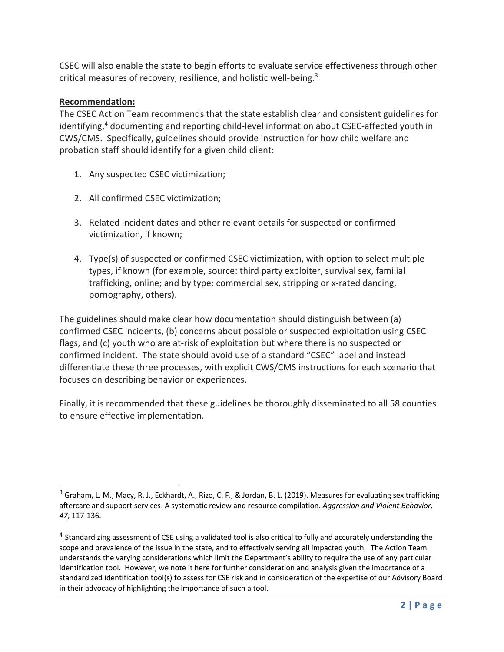CSEC will also enable the state to begin efforts to evaluate service effectiveness through other critical measures of recovery, resilience, and holistic well-being.3

# **Recommendation:**

The CSEC Action Team recommends that the state establish clear and consistent guidelines for identifying,<sup>4</sup> documenting and reporting child-level information about CSEC-affected youth in CWS/CMS. Specifically, guidelines should provide instruction for how child welfare and probation staff should identify for a given child client:

- 1. Any suspected CSEC victimization;
- 2. All confirmed CSEC victimization;
- 3. Related incident dates and other relevant details for suspected or confirmed victimization, if known;
- 4. Type(s) of suspected or confirmed CSEC victimization, with option to select multiple types, if known (for example, source: third party exploiter, survival sex, familial trafficking, online; and by type: commercial sex, stripping or x-rated dancing, pornography, others).

The guidelines should make clear how documentation should distinguish between (a) confirmed CSEC incidents, (b) concerns about possible or suspected exploitation using CSEC flags, and (c) youth who are at-risk of exploitation but where there is no suspected or confirmed incident. The state should avoid use of a standard "CSEC" label and instead differentiate these three processes, with explicit CWS/CMS instructions for each scenario that focuses on describing behavior or experiences.

Finally, it is recommended that these guidelines be thoroughly disseminated to all 58 counties to ensure effective implementation.

<sup>&</sup>lt;sup>3</sup> Graham, L. M., Macy, R. J., Eckhardt, A., Rizo, C. F., & Jordan, B. L. (2019). Measures for evaluating sex trafficking aftercare and support services: A systematic review and resource compilation. *Aggression and Violent Behavior, 47*, 117-136.

<sup>&</sup>lt;sup>4</sup> Standardizing assessment of CSE using a validated tool is also critical to fully and accurately understanding the scope and prevalence of the issue in the state, and to effectively serving all impacted youth. The Action Team understands the varying considerations which limit the Department's ability to require the use of any particular identification tool. However, we note it here for further consideration and analysis given the importance of a standardized identification tool(s) to assess for CSE risk and in consideration of the expertise of our Advisory Board in their advocacy of highlighting the importance of such a tool.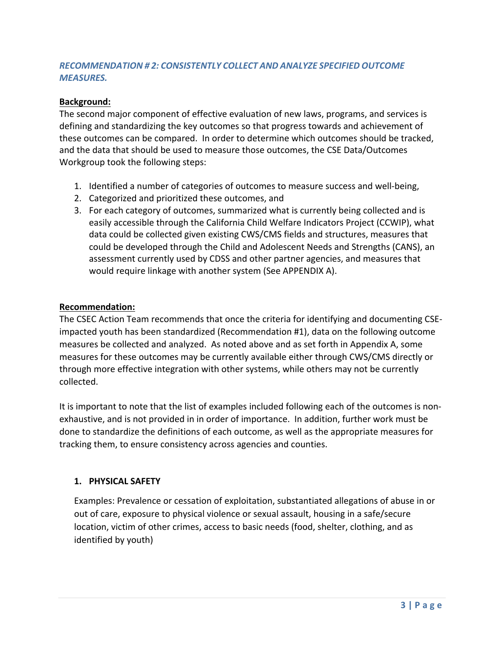# *RECOMMENDATION # 2: CONSISTENTLY COLLECT AND ANALYZE SPECIFIED OUTCOME MEASURES.*

# **Background:**

The second major component of effective evaluation of new laws, programs, and services is defining and standardizing the key outcomes so that progress towards and achievement of these outcomes can be compared. In order to determine which outcomes should be tracked, and the data that should be used to measure those outcomes, the CSE Data/Outcomes Workgroup took the following steps:

- 1. Identified a number of categories of outcomes to measure success and well-being,
- 2. Categorized and prioritized these outcomes, and
- 3. For each category of outcomes, summarized what is currently being collected and is easily accessible through the California Child Welfare Indicators Project (CCWIP), what data could be collected given existing CWS/CMS fields and structures, measures that could be developed through the Child and Adolescent Needs and Strengths (CANS), an assessment currently used by CDSS and other partner agencies, and measures that would require linkage with another system (See APPENDIX A).

# **Recommendation:**

The CSEC Action Team recommends that once the criteria for identifying and documenting CSEimpacted youth has been standardized (Recommendation #1), data on the following outcome measures be collected and analyzed. As noted above and as set forth in Appendix A, some measures for these outcomes may be currently available either through CWS/CMS directly or through more effective integration with other systems, while others may not be currently collected.

It is important to note that the list of examples included following each of the outcomes is nonexhaustive, and is not provided in in order of importance. In addition, further work must be done to standardize the definitions of each outcome, as well as the appropriate measures for tracking them, to ensure consistency across agencies and counties.

# **1. PHYSICAL SAFETY**

Examples: Prevalence or cessation of exploitation, substantiated allegations of abuse in or out of care, exposure to physical violence or sexual assault, housing in a safe/secure location, victim of other crimes, access to basic needs (food, shelter, clothing, and as identified by youth)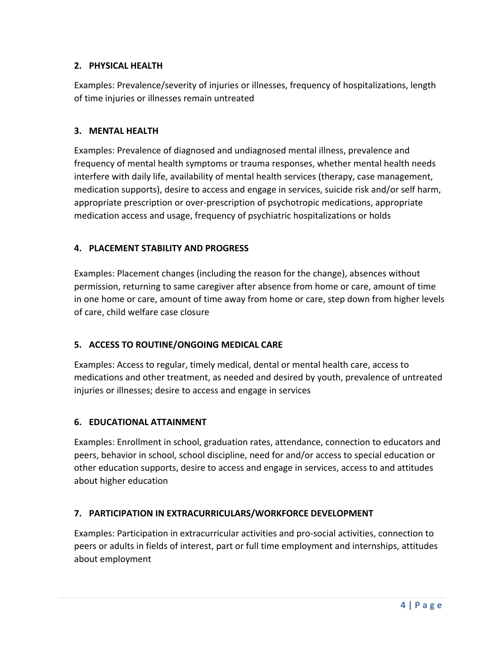# **2. PHYSICAL HEALTH**

Examples: Prevalence/severity of injuries or illnesses, frequency of hospitalizations, length of time injuries or illnesses remain untreated

### **3. MENTAL HEALTH**

Examples: Prevalence of diagnosed and undiagnosed mental illness, prevalence and frequency of mental health symptoms or trauma responses, whether mental health needs interfere with daily life, availability of mental health services (therapy, case management, medication supports), desire to access and engage in services, suicide risk and/or self harm, appropriate prescription or over-prescription of psychotropic medications, appropriate medication access and usage, frequency of psychiatric hospitalizations or holds

### **4. PLACEMENT STABILITY AND PROGRESS**

Examples: Placement changes (including the reason for the change), absences without permission, returning to same caregiver after absence from home or care, amount of time in one home or care, amount of time away from home or care, step down from higher levels of care, child welfare case closure

# **5. ACCESS TO ROUTINE/ONGOING MEDICAL CARE**

Examples: Access to regular, timely medical, dental or mental health care, access to medications and other treatment, as needed and desired by youth, prevalence of untreated injuries or illnesses; desire to access and engage in services

# **6. EDUCATIONAL ATTAINMENT**

Examples: Enrollment in school, graduation rates, attendance, connection to educators and peers, behavior in school, school discipline, need for and/or access to special education or other education supports, desire to access and engage in services, access to and attitudes about higher education

# **7. PARTICIPATION IN EXTRACURRICULARS/WORKFORCE DEVELOPMENT**

Examples: Participation in extracurricular activities and pro-social activities, connection to peers or adults in fields of interest, part or full time employment and internships, attitudes about employment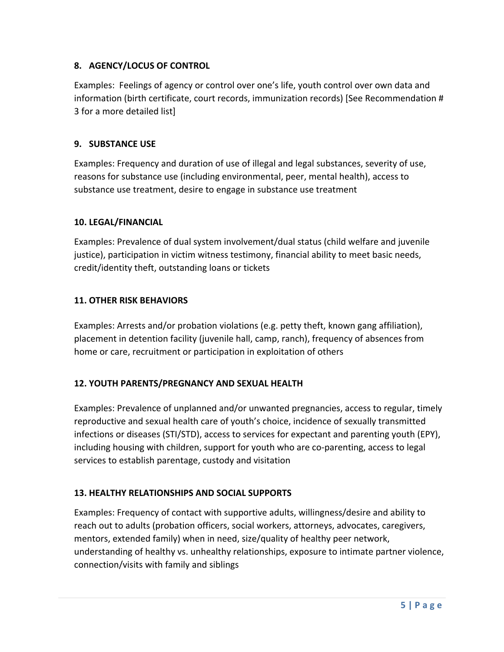# **8. AGENCY/LOCUS OF CONTROL**

Examples: Feelings of agency or control over one's life, youth control over own data and information (birth certificate, court records, immunization records) [See Recommendation # 3 for a more detailed list]

### **9. SUBSTANCE USE**

Examples: Frequency and duration of use of illegal and legal substances, severity of use, reasons for substance use (including environmental, peer, mental health), access to substance use treatment, desire to engage in substance use treatment

### **10. LEGAL/FINANCIAL**

Examples: Prevalence of dual system involvement/dual status (child welfare and juvenile justice), participation in victim witness testimony, financial ability to meet basic needs, credit/identity theft, outstanding loans or tickets

### **11. OTHER RISK BEHAVIORS**

Examples: Arrests and/or probation violations (e.g. petty theft, known gang affiliation), placement in detention facility (juvenile hall, camp, ranch), frequency of absences from home or care, recruitment or participation in exploitation of others

# **12. YOUTH PARENTS/PREGNANCY AND SEXUAL HEALTH**

Examples: Prevalence of unplanned and/or unwanted pregnancies, access to regular, timely reproductive and sexual health care of youth's choice, incidence of sexually transmitted infections or diseases (STI/STD), access to services for expectant and parenting youth (EPY), including housing with children, support for youth who are co-parenting, access to legal services to establish parentage, custody and visitation

# **13. HEALTHY RELATIONSHIPS AND SOCIAL SUPPORTS**

Examples: Frequency of contact with supportive adults, willingness/desire and ability to reach out to adults (probation officers, social workers, attorneys, advocates, caregivers, mentors, extended family) when in need, size/quality of healthy peer network, understanding of healthy vs. unhealthy relationships, exposure to intimate partner violence, connection/visits with family and siblings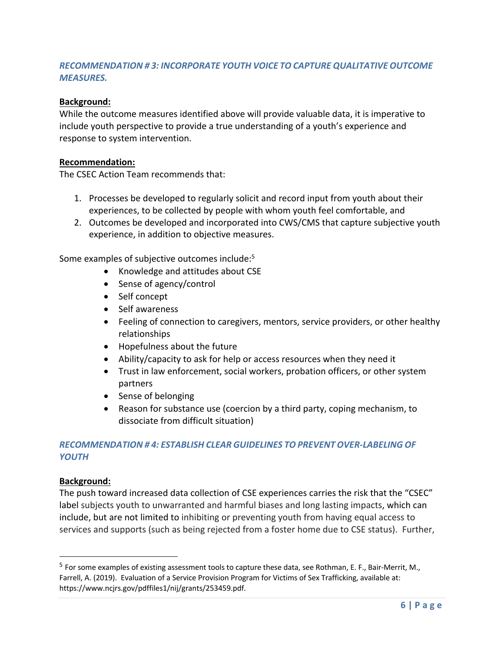# *RECOMMENDATION # 3: INCORPORATE YOUTH VOICE TO CAPTURE QUALITATIVE OUTCOME MEASURES.*

### **Background:**

While the outcome measures identified above will provide valuable data, it is imperative to include youth perspective to provide a true understanding of a youth's experience and response to system intervention.

#### **Recommendation:**

The CSEC Action Team recommends that:

- 1. Processes be developed to regularly solicit and record input from youth about their experiences, to be collected by people with whom youth feel comfortable, and
- 2. Outcomes be developed and incorporated into CWS/CMS that capture subjective youth experience, in addition to objective measures.

Some examples of subjective outcomes include:5

- Knowledge and attitudes about CSE
- Sense of agency/control
- Self concept
- Self awareness
- Feeling of connection to caregivers, mentors, service providers, or other healthy relationships
- Hopefulness about the future
- Ability/capacity to ask for help or access resources when they need it
- Trust in law enforcement, social workers, probation officers, or other system partners
- Sense of belonging
- Reason for substance use (coercion by a third party, coping mechanism, to dissociate from difficult situation)

### *RECOMMENDATION # 4: ESTABLISH CLEAR GUIDELINES TO PREVENT OVER-LABELING OF YOUTH*

#### **Background:**

The push toward increased data collection of CSE experiences carries the risk that the "CSEC" label subjects youth to unwarranted and harmful biases and long lasting impacts, which can include, but are not limited to inhibiting or preventing youth from having equal access to services and supports (such as being rejected from a foster home due to CSE status). Further,

<sup>5</sup> For some examples of existing assessment tools to capture these data, see Rothman, E. F., Bair-Merrit, M., Farrell, A. (2019). Evaluation of a Service Provision Program for Victims of Sex Trafficking, available at: https://www.ncjrs.gov/pdffiles1/nij/grants/253459.pdf.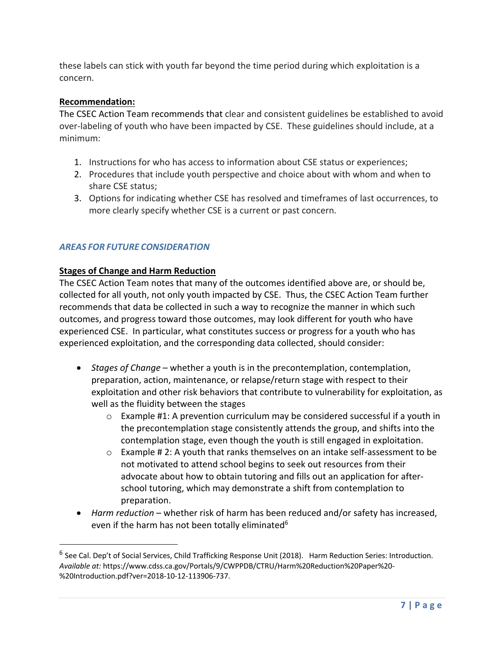these labels can stick with youth far beyond the time period during which exploitation is a concern.

### **Recommendation:**

The CSEC Action Team recommends that clear and consistent guidelines be established to avoid over-labeling of youth who have been impacted by CSE. These guidelines should include, at a minimum:

- 1. Instructions for who has access to information about CSE status or experiences;
- 2. Procedures that include youth perspective and choice about with whom and when to share CSE status;
- 3. Options for indicating whether CSE has resolved and timeframes of last occurrences, to more clearly specify whether CSE is a current or past concern.

### *AREAS FOR FUTURE CONSIDERATION*

#### **Stages of Change and Harm Reduction**

The CSEC Action Team notes that many of the outcomes identified above are, or should be, collected for all youth, not only youth impacted by CSE. Thus, the CSEC Action Team further recommends that data be collected in such a way to recognize the manner in which such outcomes, and progress toward those outcomes, may look different for youth who have experienced CSE. In particular, what constitutes success or progress for a youth who has experienced exploitation, and the corresponding data collected, should consider:

- *Stages of Change* whether a youth is in the precontemplation, contemplation, preparation, action, maintenance, or relapse/return stage with respect to their exploitation and other risk behaviors that contribute to vulnerability for exploitation, as well as the fluidity between the stages
	- o Example #1: A prevention curriculum may be considered successful if a youth in the precontemplation stage consistently attends the group, and shifts into the contemplation stage, even though the youth is still engaged in exploitation.
	- o Example # 2: A youth that ranks themselves on an intake self-assessment to be not motivated to attend school begins to seek out resources from their advocate about how to obtain tutoring and fills out an application for afterschool tutoring, which may demonstrate a shift from contemplation to preparation.
- *Harm reduction* whether risk of harm has been reduced and/or safety has increased, even if the harm has not been totally eliminated<sup>6</sup>

 $6$  See Cal. Dep't of Social Services, Child Trafficking Response Unit (2018). Harm Reduction Series: Introduction. *Available at:* https://www.cdss.ca.gov/Portals/9/CWPPDB/CTRU/Harm%20Reduction%20Paper%20- %20Introduction.pdf?ver=2018-10-12-113906-737.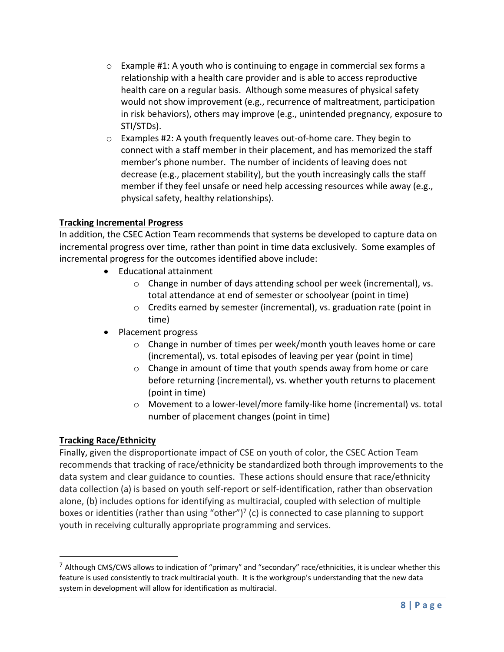- o Example #1: A youth who is continuing to engage in commercial sex forms a relationship with a health care provider and is able to access reproductive health care on a regular basis. Although some measures of physical safety would not show improvement (e.g., recurrence of maltreatment, participation in risk behaviors), others may improve (e.g., unintended pregnancy, exposure to STI/STDs).
- $\circ$  Examples #2: A youth frequently leaves out-of-home care. They begin to connect with a staff member in their placement, and has memorized the staff member's phone number. The number of incidents of leaving does not decrease (e.g., placement stability), but the youth increasingly calls the staff member if they feel unsafe or need help accessing resources while away (e.g., physical safety, healthy relationships).

# **Tracking Incremental Progress**

In addition, the CSEC Action Team recommends that systems be developed to capture data on incremental progress over time, rather than point in time data exclusively. Some examples of incremental progress for the outcomes identified above include:

- Educational attainment
	- o Change in number of days attending school per week (incremental), vs. total attendance at end of semester or schoolyear (point in time)
	- o Credits earned by semester (incremental), vs. graduation rate (point in time)
- Placement progress
	- o Change in number of times per week/month youth leaves home or care (incremental), vs. total episodes of leaving per year (point in time)
	- o Change in amount of time that youth spends away from home or care before returning (incremental), vs. whether youth returns to placement (point in time)
	- o Movement to a lower-level/more family-like home (incremental) vs. total number of placement changes (point in time)

# **Tracking Race/Ethnicity**

Finally, given the disproportionate impact of CSE on youth of color, the CSEC Action Team recommends that tracking of race/ethnicity be standardized both through improvements to the data system and clear guidance to counties. These actions should ensure that race/ethnicity data collection (a) is based on youth self-report or self-identification, rather than observation alone, (b) includes options for identifying as multiracial, coupled with selection of multiple boxes or identities (rather than using "other")<sup>7</sup> (c) is connected to case planning to support youth in receiving culturally appropriate programming and services.

 $<sup>7</sup>$  Although CMS/CWS allows to indication of "primary" and "secondary" race/ethnicities, it is unclear whether this</sup> feature is used consistently to track multiracial youth. It is the workgroup's understanding that the new data system in development will allow for identification as multiracial.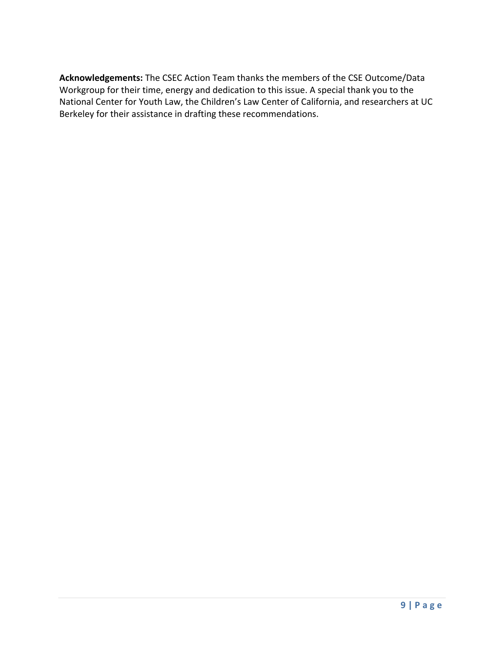**Acknowledgements:** The CSEC Action Team thanks the members of the CSE Outcome/Data Workgroup for their time, energy and dedication to this issue. A special thank you to the National Center for Youth Law, the Children's Law Center of California, and researchers at UC Berkeley for their assistance in drafting these recommendations.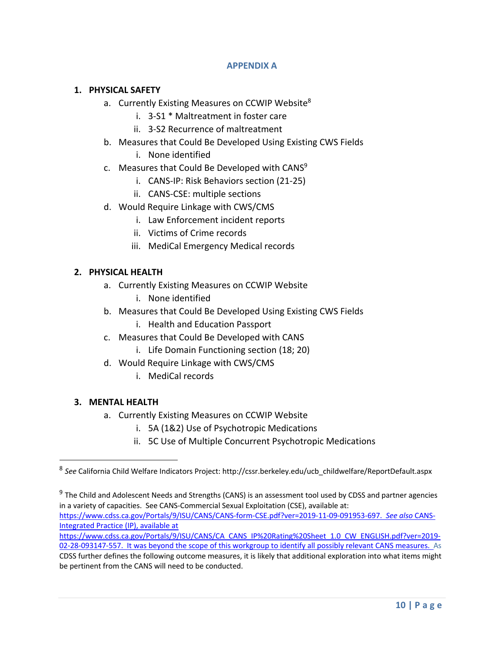#### **APPENDIX A**

### **1. PHYSICAL SAFETY**

- a. Currently Existing Measures on CCWIP Website<sup>8</sup>
	- i. 3-S1 \* Maltreatment in foster care
	- ii. 3-S2 Recurrence of maltreatment
- b. Measures that Could Be Developed Using Existing CWS Fields
	- i. None identified
- c. Measures that Could Be Developed with CANS<sup>9</sup>
	- i. CANS-IP: Risk Behaviors section (21-25)
	- ii. CANS-CSE: multiple sections
- d. Would Require Linkage with CWS/CMS
	- i. Law Enforcement incident reports
	- ii. Victims of Crime records
	- iii. MediCal Emergency Medical records

### **2. PHYSICAL HEALTH**

- a. Currently Existing Measures on CCWIP Website i. None identified
- b. Measures that Could Be Developed Using Existing CWS Fields
	- i. Health and Education Passport
- c. Measures that Could Be Developed with CANS
	- i. Life Domain Functioning section (18; 20)
- d. Would Require Linkage with CWS/CMS
	- i. MediCal records

#### **3. MENTAL HEALTH**

- a. Currently Existing Measures on CCWIP Website
	- i. 5A (1&2) Use of Psychotropic Medications
	- ii. 5C Use of Multiple Concurrent Psychotropic Medications

https://www.cdss.ca.gov/Portals/9/ISU/CANS/CANS-form-CSE.pdf?ver=2019-11-09-091953-697. *See also* CANS-Integrated Practice (IP), available at

https://www.cdss.ca.gov/Portals/9/ISU/CANS/CA\_CANS\_IP%20Rating%20Sheet\_1.0\_CW\_ENGLISH.pdf?ver=2019-02-28-093147-557. It was beyond the scope of this workgroup to identify all possibly relevant CANS measures. As

CDSS further defines the following outcome measures, it is likely that additional exploration into what items might be pertinent from the CANS will need to be conducted.

<sup>8</sup> *See* California Child Welfare Indicators Project: http://cssr.berkeley.edu/ucb\_childwelfare/ReportDefault.aspx

<sup>9</sup> The Child and Adolescent Needs and Strengths (CANS) is an assessment tool used by CDSS and partner agencies in a variety of capacities. See CANS-Commercial Sexual Exploitation (CSE), available at: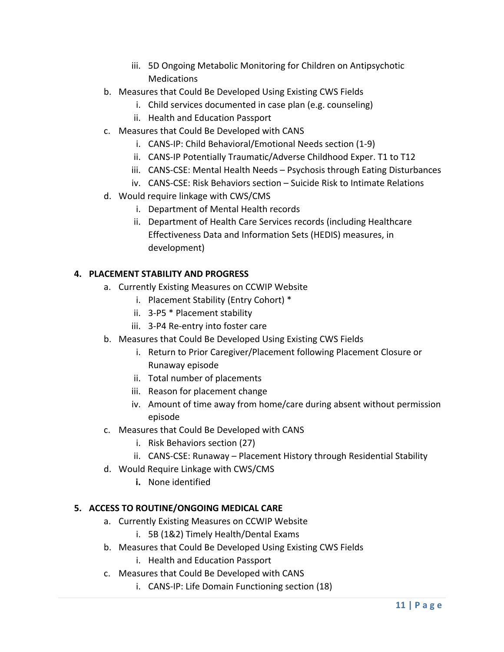- iii. 5D Ongoing Metabolic Monitoring for Children on Antipsychotic Medications
- b. Measures that Could Be Developed Using Existing CWS Fields
	- i. Child services documented in case plan (e.g. counseling)
	- ii. Health and Education Passport
- c. Measures that Could Be Developed with CANS
	- i. CANS-IP: Child Behavioral/Emotional Needs section (1-9)
	- ii. CANS-IP Potentially Traumatic/Adverse Childhood Exper. T1 to T12
	- iii. CANS-CSE: Mental Health Needs Psychosis through Eating Disturbances
	- iv. CANS-CSE: Risk Behaviors section Suicide Risk to Intimate Relations
- d. Would require linkage with CWS/CMS
	- i. Department of Mental Health records
	- ii. Department of Health Care Services records (including Healthcare Effectiveness Data and Information Sets (HEDIS) measures, in development)

# **4. PLACEMENT STABILITY AND PROGRESS**

- a. Currently Existing Measures on CCWIP Website
	- i. Placement Stability (Entry Cohort) \*
	- ii. 3-P5 \* Placement stability
	- iii. 3-P4 Re-entry into foster care
- b. Measures that Could Be Developed Using Existing CWS Fields
	- i. Return to Prior Caregiver/Placement following Placement Closure or Runaway episode
	- ii. Total number of placements
	- iii. Reason for placement change
	- iv. Amount of time away from home/care during absent without permission episode
- c. Measures that Could Be Developed with CANS
	- i. Risk Behaviors section (27)
	- ii. CANS-CSE: Runaway Placement History through Residential Stability
- d. Would Require Linkage with CWS/CMS
	- **i.** None identified

# **5. ACCESS TO ROUTINE/ONGOING MEDICAL CARE**

- a. Currently Existing Measures on CCWIP Website
	- i. 5B (1&2) Timely Health/Dental Exams
- b. Measures that Could Be Developed Using Existing CWS Fields
	- i. Health and Education Passport
- c. Measures that Could Be Developed with CANS
	- i. CANS-IP: Life Domain Functioning section (18)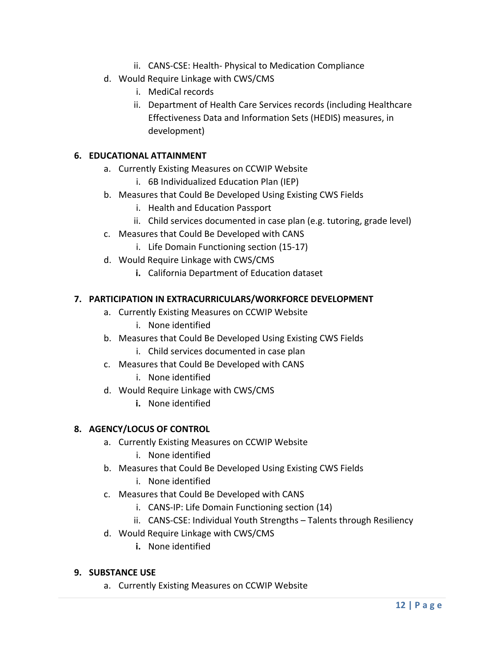- ii. CANS-CSE: Health- Physical to Medication Compliance
- d. Would Require Linkage with CWS/CMS
	- i. MediCal records
	- ii. Department of Health Care Services records (including Healthcare Effectiveness Data and Information Sets (HEDIS) measures, in development)

### **6. EDUCATIONAL ATTAINMENT**

- a. Currently Existing Measures on CCWIP Website
	- i. 6B Individualized Education Plan (IEP)
- b. Measures that Could Be Developed Using Existing CWS Fields
	- i. Health and Education Passport
	- ii. Child services documented in case plan (e.g. tutoring, grade level)
- c. Measures that Could Be Developed with CANS
	- i. Life Domain Functioning section (15-17)
- d. Would Require Linkage with CWS/CMS
	- **i.** California Department of Education dataset

# **7. PARTICIPATION IN EXTRACURRICULARS/WORKFORCE DEVELOPMENT**

- a. Currently Existing Measures on CCWIP Website
	- i. None identified
- b. Measures that Could Be Developed Using Existing CWS Fields i. Child services documented in case plan
- c. Measures that Could Be Developed with CANS
	- i. None identified
- d. Would Require Linkage with CWS/CMS
	- **i.** None identified

# **8. AGENCY/LOCUS OF CONTROL**

- a. Currently Existing Measures on CCWIP Website
	- i. None identified
- b. Measures that Could Be Developed Using Existing CWS Fields
	- i. None identified
- c. Measures that Could Be Developed with CANS
	- i. CANS-IP: Life Domain Functioning section (14)
	- ii. CANS-CSE: Individual Youth Strengths Talents through Resiliency
- d. Would Require Linkage with CWS/CMS
	- **i.** None identified

# **9. SUBSTANCE USE**

a. Currently Existing Measures on CCWIP Website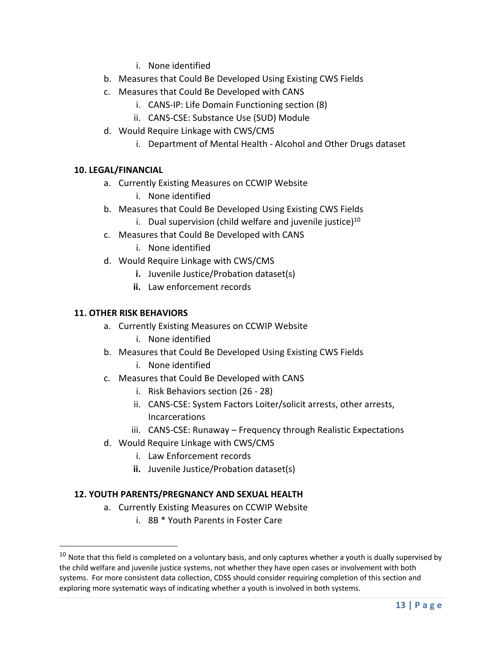- i. None identified
- b. Measures that Could Be Developed Using Existing CWS Fields
- c. Measures that Could Be Developed with CANS
	- i. CANS-IP: Life Domain Functioning section (8)
	- ii. CANS-CSE: Substance Use (SUD) Module
- d. Would Require Linkage with CWS/CMS
	- i. Department of Mental Health Alcohol and Other Drugs dataset

# **10. LEGAL/FINANCIAL**

- a. Currently Existing Measures on CCWIP Website
	- i. None identified
- b. Measures that Could Be Developed Using Existing CWS Fields
	- i. Dual supervision (child welfare and juvenile justice) $^{10}$
- c. Measures that Could Be Developed with CANS
	- i. None identified
- d. Would Require Linkage with CWS/CMS
	- **i.** Juvenile Justice/Probation dataset(s)
	- **ii.** Law enforcement records

### **11. OTHER RISK BEHAVIORS**

- a. Currently Existing Measures on CCWIP Website
	- i. None identified
- b. Measures that Could Be Developed Using Existing CWS Fields
	- i. None identified
- c. Measures that Could Be Developed with CANS
	- i. Risk Behaviors section (26 28)
	- ii. CANS-CSE: System Factors Loiter/solicit arrests, other arrests, Incarcerations
	- iii. CANS-CSE: Runaway Frequency through Realistic Expectations
- d. Would Require Linkage with CWS/CMS
	- i. Law Enforcement records
	- **ii.** Juvenile Justice/Probation dataset(s)

# **12. YOUTH PARENTS/PREGNANCY AND SEXUAL HEALTH**

- a. Currently Existing Measures on CCWIP Website
	- i. 8B \* Youth Parents in Foster Care

 $10$  Note that this field is completed on a voluntary basis, and only captures whether a youth is dually supervised by the child welfare and juvenile justice systems, not whether they have open cases or involvement with both systems. For more consistent data collection, CDSS should consider requiring completion of this section and exploring more systematic ways of indicating whether a youth is involved in both systems.